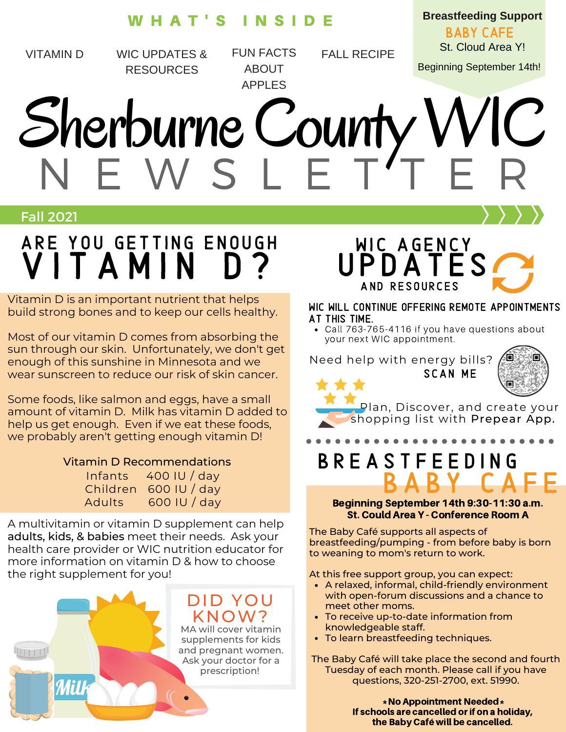### W H A T ' S I N S I D E

BABY CAFE St. Cloud Area Y! FALL RECIPE

Beginning September 14th!

**Breastfeeding Support**

# N E W S L E T'T E R Sherburne County WIC APPLES

FUN FACTS **ABOUT** 

#### Fall 2021

# ARE YOU GETTING ENOUGH V I T A M I N

VITAMIN D WIC UPDATES &

RESOURCES

Vitamin D is an important nutrient that helps build strong bones and to keep our cells healthy.

Most of our vitamin D comes from absorbing the sun through our skin. Unfortunately, we don't get enough of this sunshine in Minnesota and we wear sunscreen to reduce our risk of skin cancer.

Some foods, like salmon and eggs, have a small amount of vitamin D. Milk has vitamin D added to help us get enough. Even if we eat these foods, we probably aren't getting enough vitamin D!

#### Vitamin D Recommendations

| Infants       | 400 IU / day   |
|---------------|----------------|
| Children      | $600$ IU / day |
| <b>Adults</b> | $600$ IU / day |

A multivitamin or vitamin D supplement can help adults, kids, & babies meet their needs. Ask your health care provider or WIC nutrition educator for more information on vitamin D & how to choose the right supplement for you!



## AND RESOURCES WIC AGENCY UPDATES

#### Wic will continue offering remote appointments at this time.

Call 763-765-4116 if you have questions about your next WIC appointment.

Need help with energy bills?



Plan, Discover, and create your shopping list with Prepear App.

SCAN ME

# B R E A S T F E E D I N G B A B Y C A F E

#### Beginning September 14th 9:30-11:30 a.m. St. Could Area Y - Conference Room A

The Baby Café supports all aspects of breastfeeding/pumping - from before baby is born to weaning to mom's return to work.

At this free support group, you can expect:

- A relaxed, informal, child-friendly environment with open-forum discussions and a chance to meet other moms.
- To receive up-to-date information from knowledgeable staff.
- To learn breastfeeding techniques.

The Baby Café will take place the second and fourth Tuesday of each month. Please call if you have questions, 320-251-2700, ext. 51990.

> \*No Appointment Needed\* If schools are cancelled or if on a holiday, the Baby Café will be cancelled.